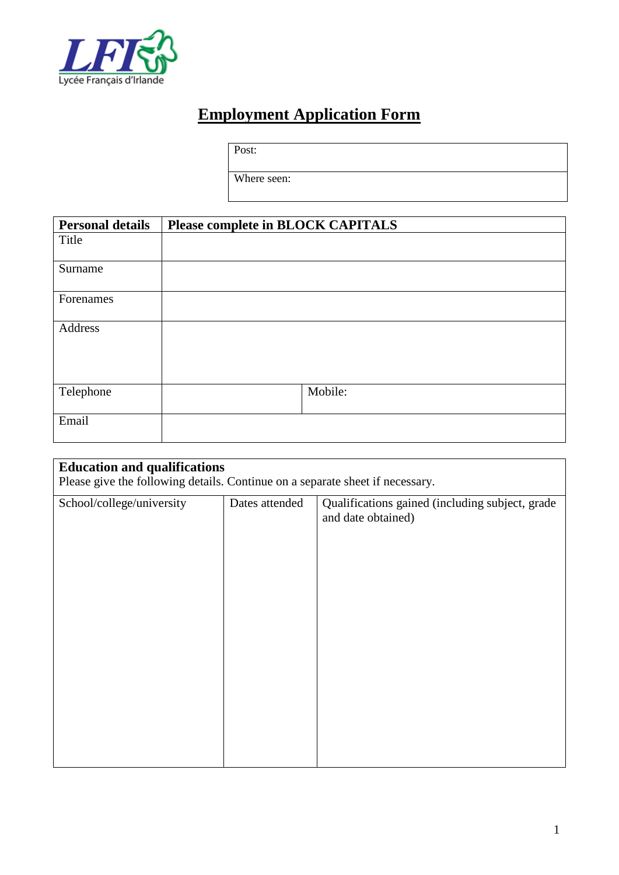

# **Employment Application Form**

Post:

Where seen:

| <b>Personal details</b> | Please complete in BLOCK CAPITALS |         |
|-------------------------|-----------------------------------|---------|
| Title                   |                                   |         |
| Surname                 |                                   |         |
| Forenames               |                                   |         |
| Address                 |                                   |         |
| Telephone               |                                   | Mobile: |
| Email                   |                                   |         |

| <b>Education and qualifications</b><br>Please give the following details. Continue on a separate sheet if necessary. |                |                                                                       |  |
|----------------------------------------------------------------------------------------------------------------------|----------------|-----------------------------------------------------------------------|--|
| School/college/university                                                                                            | Dates attended | Qualifications gained (including subject, grade<br>and date obtained) |  |
|                                                                                                                      |                |                                                                       |  |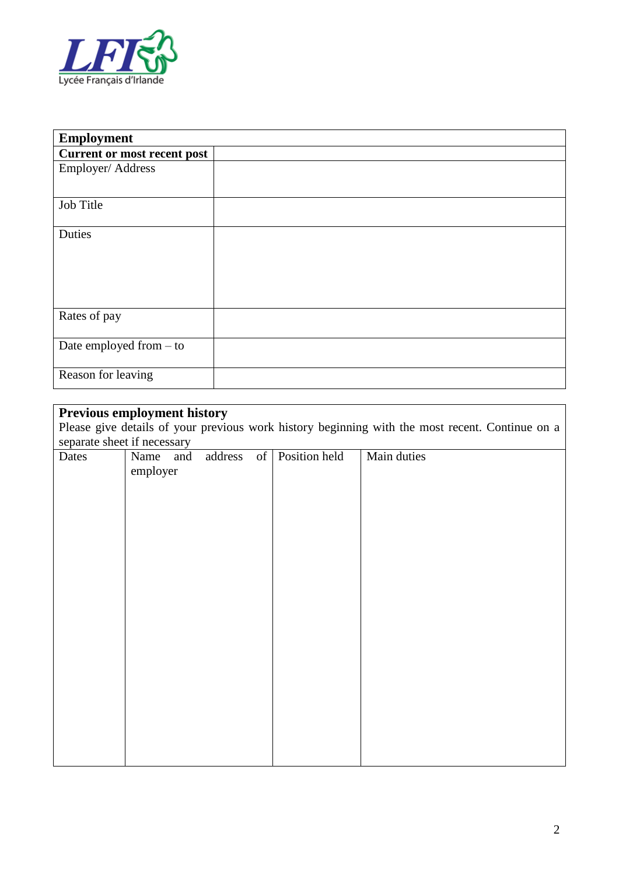

| <b>Employment</b>                  |  |
|------------------------------------|--|
| <b>Current or most recent post</b> |  |
| Employer/Address                   |  |
| Job Title                          |  |
| Duties                             |  |
| Rates of pay                       |  |
| Date employed from $-$ to          |  |
| Reason for leaving                 |  |

#### **Previous employment history**

Please give details of your previous work history beginning with the most recent. Continue on a separate sheet if necessary

| Dates |          | Name and address of Position held | Main duties |
|-------|----------|-----------------------------------|-------------|
|       | employer |                                   |             |
|       |          |                                   |             |
|       |          |                                   |             |
|       |          |                                   |             |
|       |          |                                   |             |
|       |          |                                   |             |
|       |          |                                   |             |
|       |          |                                   |             |
|       |          |                                   |             |
|       |          |                                   |             |
|       |          |                                   |             |
|       |          |                                   |             |
|       |          |                                   |             |
|       |          |                                   |             |
|       |          |                                   |             |
|       |          |                                   |             |
|       |          |                                   |             |
|       |          |                                   |             |
|       |          |                                   |             |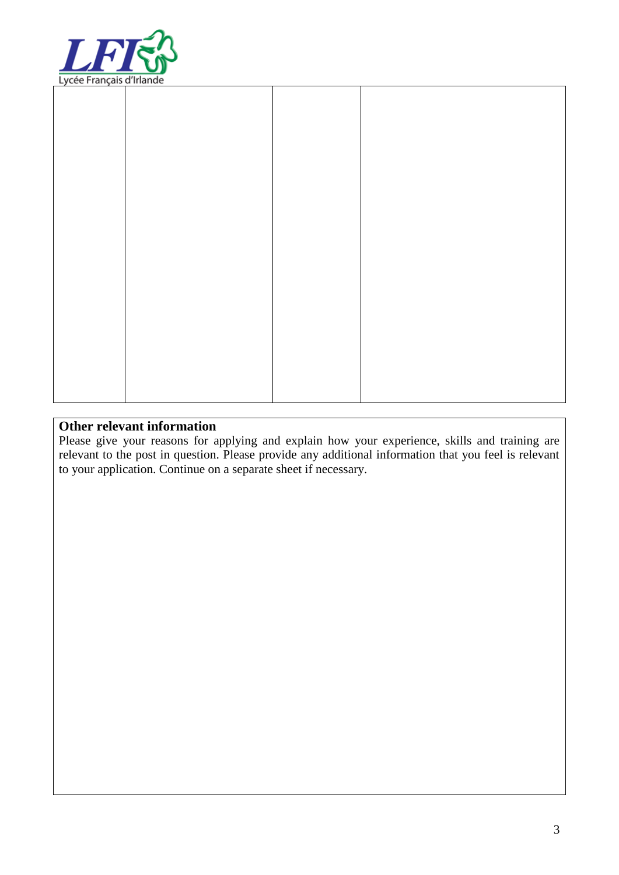

## **Other relevant information**

Please give your reasons for applying and explain how your experience, skills and training are relevant to the post in question. Please provide any additional information that you feel is relevant to your application. Continue on a separate sheet if necessary.